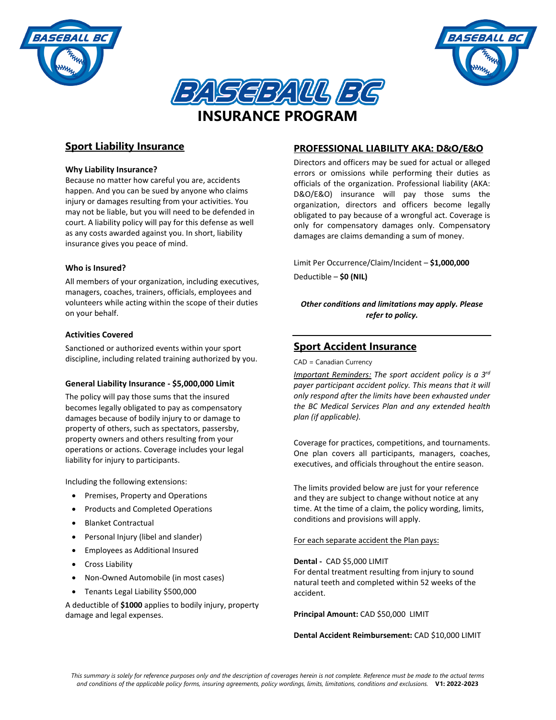





## **Why Liability Insurance?**

Because no matter how careful you are, accidents happen. And you can be sued by anyone who claims injury or damages resulting from your activities. You may not be liable, but you will need to be defended in court. A liability policy will pay for this defense as well as any costs awarded against you. In short, liability insurance gives you peace of mind.

## **Who is Insured?**

All members of your organization, including executives, managers, coaches, trainers, officials, employees and volunteers while acting within the scope of their duties on your behalf.

## **Activities Covered**

Sanctioned or authorized events within your sport discipline, including related training authorized by you.

#### **General Liability Insurance - \$5,000,000 Limit**

The policy will pay those sums that the insured becomes legally obligated to pay as compensatory damages because of bodily injury to or damage to property of others, such as spectators, passersby, property owners and others resulting from your operations or actions. Coverage includes your legal liability for injury to participants.

Including the following extensions:

- Premises, Property and Operations
- Products and Completed Operations
- Blanket Contractual
- Personal Injury (libel and slander)
- Employees as Additional Insured
- **•** Cross Liability
- Non-Owned Automobile (in most cases)
- Tenants Legal Liability \$500,000

A deductible of **\$1000** applies to bodily injury, property damage and legal expenses.

## **PROFESSIONAL LIABILITY AKA: D&O/E&O**

*BASEBALL B* 

Directors and officers may be sued for actual or alleged errors or omissions while performing their duties as officials of the organization. Professional liability (AKA: D&O/E&O) insurance will pay those sums the organization, directors and officers become legally obligated to pay because of a wrongful act. Coverage is only for compensatory damages only. Compensatory damages are claims demanding a sum of money.

Limit Per Occurrence/Claim/Incident – **\$1,000,000** Deductible – **\$0 (NIL)**

*Other conditions and limitations may apply. Please refer to policy.*

# **Sport Accident Insurance**

CAD = Canadian Currency

*Important Reminders: The sport accident policy is a 3 rd payer participant accident policy. This means that it will only respond after the limits have been exhausted under the BC Medical Services Plan and any extended health plan (if applicable).*

Coverage for practices, competitions, and tournaments. One plan covers all participants, managers, coaches, executives, and officials throughout the entire season.

The limits provided below are just for your reference and they are subject to change without notice at any time. At the time of a claim, the policy wording, limits, conditions and provisions will apply.

#### For each separate accident the Plan pays:

**Dental -** CAD \$5,000 LIMIT

For dental treatment resulting from injury to sound natural teeth and completed within 52 weeks of the accident.

**Principal Amount:** CAD \$50,000 LIMIT

**Dental Accident Reimbursement:** CAD \$10,000 LIMIT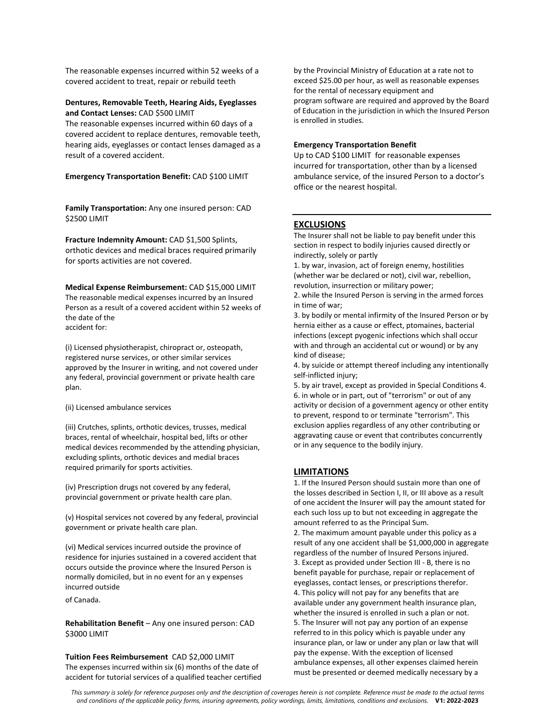The reasonable expenses incurred within 52 weeks of a covered accident to treat, repair or rebuild teeth

#### **Dentures, Removable Teeth, Hearing Aids, Eyeglasses and Contact Lenses:** CAD \$500 LIMIT

The reasonable expenses incurred within 60 days of a covered accident to replace dentures, removable teeth, hearing aids, eyeglasses or contact lenses damaged as a result of a covered accident.

**Emergency Transportation Benefit:** CAD \$100 LIMIT

**Family Transportation:** Any one insured person: CAD **\$2500 LIMIT** 

**Fracture Indemnity Amount:** CAD \$1,500 Splints, orthotic devices and medical braces required primarily for sports activities are not covered.

**Medical Expense Reimbursement:** CAD \$15,000 LIMIT The reasonable medical expenses incurred by an Insured Person as a result of a covered accident within 52 weeks of the date of the accident for:

(i) Licensed physiotherapist, chiropract or, osteopath, registered nurse services, or other similar services approved by the Insurer in writing, and not covered under any federal, provincial government or private health care plan.

(ii) Licensed ambulance services

(iii) Crutches, splints, orthotic devices, trusses, medical braces, rental of wheelchair, hospital bed, lifts or other medical devices recommended by the attending physician, excluding splints, orthotic devices and medial braces required primarily for sports activities.

(iv) Prescription drugs not covered by any federal, provincial government or private health care plan.

(v) Hospital services not covered by any federal, provincial government or private health care plan.

(vi) Medical services incurred outside the province of residence for injuries sustained in a covered accident that occurs outside the province where the Insured Person is normally domiciled, but in no event for an y expenses incurred outside

of Canada.

**Rehabilitation Benefit** – Any one insured person: CAD \$3000 LIMIT

**Tuition Fees Reimbursement** CAD \$2,000 LIMIT The expenses incurred within six (6) months of the date of accident for tutorial services of a qualified teacher certified

by the Provincial Ministry of Education at a rate not to exceed \$25.00 per hour, as well as reasonable expenses for the rental of necessary equipment and program software are required and approved by the Board of Education in the jurisdiction in which the Insured Person is enrolled in studies.

#### **Emergency Transportation Benefit**

Up to CAD \$100 LIMIT for reasonable expenses incurred for transportation, other than by a licensed ambulance service, of the insured Person to a doctor's office or the nearest hospital.

## **EXCLUSIONS**

The Insurer shall not be liable to pay benefit under this section in respect to bodily injuries caused directly or indirectly, solely or partly

1. by war, invasion, act of foreign enemy, hostilities (whether war be declared or not), civil war, rebellion, revolution, insurrection or military power;

2. while the Insured Person is serving in the armed forces in time of war;

3. by bodily or mental infirmity of the Insured Person or by hernia either as a cause or effect, ptomaines, bacterial infections (except pyogenic infections which shall occur with and through an accidental cut or wound) or by any kind of disease;

4. by suicide or attempt thereof including any intentionally self-inflicted injury;

5. by air travel, except as provided in Special Conditions 4. 6. in whole or in part, out of "terrorism" or out of any activity or decision of a government agency or other entity to prevent, respond to or terminate "terrorism". This exclusion applies regardless of any other contributing or aggravating cause or event that contributes concurrently or in any sequence to the bodily injury.

#### **LIMITATIONS**

1. If the Insured Person should sustain more than one of the losses described in Section I, II, or III above as a result of one accident the Insurer will pay the amount stated for each such loss up to but not exceeding in aggregate the amount referred to as the Principal Sum. 2. The maximum amount payable under this policy as a result of any one accident shall be \$1,000,000 in aggregate regardless of the number of Insured Persons injured. 3. Except as provided under Section III - B, there is no benefit payable for purchase, repair or replacement of eyeglasses, contact lenses, or prescriptions therefor. 4. This policy will not pay for any benefits that are available under any government health insurance plan, whether the insured is enrolled in such a plan or not. 5. The Insurer will not pay any portion of an expense referred to in this policy which is payable under any insurance plan, or law or under any plan or law that will pay the expense. With the exception of licensed ambulance expenses, all other expenses claimed herein must be presented or deemed medically necessary by a

*This summary is solely for reference purposes only and the description of coverages herein is not complete. Reference must be made to the actual terms and conditions of the applicable policy forms, insuring agreements, policy wordings, limits, limitations, conditions and exclusions.* **V1: 2022-2023**